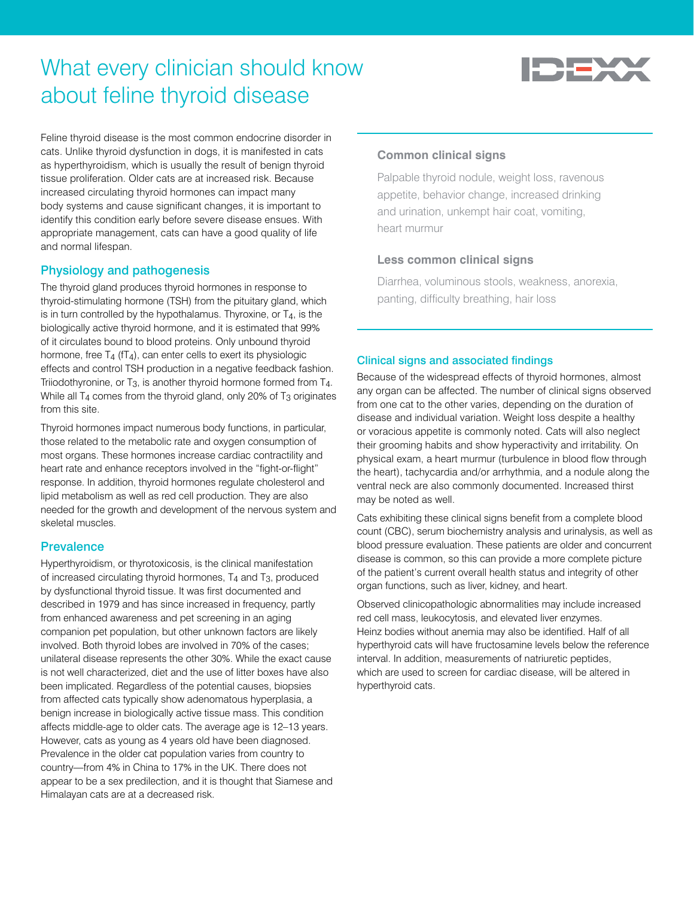# What every clinician should know about feline thyroid disease



Feline thyroid disease is the most common endocrine disorder in cats. Unlike thyroid dysfunction in dogs, it is manifested in cats as hyperthyroidism, which is usually the result of benign thyroid tissue proliferation. Older cats are at increased risk. Because increased circulating thyroid hormones can impact many body systems and cause significant changes, it is important to identify this condition early before severe disease ensues. With appropriate management, cats can have a good quality of life and normal lifespan.

## Physiology and pathogenesis

The thyroid gland produces thyroid hormones in response to thyroid-stimulating hormone (TSH) from the pituitary gland, which is in turn controlled by the hypothalamus. Thyroxine, or  $T<sub>4</sub>$ , is the biologically active thyroid hormone, and it is estimated that 99% of it circulates bound to blood proteins. Only unbound thyroid hormone, free  $T_4$  ( $T_4$ ), can enter cells to exert its physiologic effects and control TSH production in a negative feedback fashion. Triiodothyronine, or T3, is another thyroid hormone formed from T4. While all  $T_4$  comes from the thyroid gland, only 20% of  $T_3$  originates from this site.

Thyroid hormones impact numerous body functions, in particular, those related to the metabolic rate and oxygen consumption of most organs. These hormones increase cardiac contractility and heart rate and enhance receptors involved in the "fight-or-flight" response. In addition, thyroid hormones regulate cholesterol and lipid metabolism as well as red cell production. They are also needed for the growth and development of the nervous system and skeletal muscles.

## **Prevalence**

Hyperthyroidism, or thyrotoxicosis, is the clinical manifestation of increased circulating thyroid hormones, T4 and T3, produced by dysfunctional thyroid tissue. It was first documented and described in 1979 and has since increased in frequency, partly from enhanced awareness and pet screening in an aging companion pet population, but other unknown factors are likely involved. Both thyroid lobes are involved in 70% of the cases; unilateral disease represents the other 30%. While the exact cause is not well characterized, diet and the use of litter boxes have also been implicated. Regardless of the potential causes, biopsies from affected cats typically show adenomatous hyperplasia, a benign increase in biologically active tissue mass. This condition affects middle-age to older cats. The average age is 12–13 years. However, cats as young as 4 years old have been diagnosed. Prevalence in the older cat population varies from country to country—from 4% in China to 17% in the UK. There does not appear to be a sex predilection, and it is thought that Siamese and Himalayan cats are at a decreased risk.

## **Common clinical signs**

Palpable thyroid nodule, weight loss, ravenous appetite, behavior change, increased drinking and urination, unkempt hair coat, vomiting, heart murmur

### **Less common clinical signs**

Diarrhea, voluminous stools, weakness, anorexia, panting, difficulty breathing, hair loss

### Clinical signs and associated findings

Because of the widespread effects of thyroid hormones, almost any organ can be affected. The number of clinical signs observed from one cat to the other varies, depending on the duration of disease and individual variation. Weight loss despite a healthy or voracious appetite is commonly noted. Cats will also neglect their grooming habits and show hyperactivity and irritability. On physical exam, a heart murmur (turbulence in blood flow through the heart), tachycardia and/or arrhythmia, and a nodule along the ventral neck are also commonly documented. Increased thirst may be noted as well.

Cats exhibiting these clinical signs benefit from a complete blood count (CBC), serum biochemistry analysis and urinalysis, as well as blood pressure evaluation. These patients are older and concurrent disease is common, so this can provide a more complete picture of the patient's current overall health status and integrity of other organ functions, such as liver, kidney, and heart.

Observed clinicopathologic abnormalities may include increased red cell mass, leukocytosis, and elevated liver enzymes. Heinz bodies without anemia may also be identified. Half of all hyperthyroid cats will have fructosamine levels below the reference interval. In addition, measurements of natriuretic peptides, which are used to screen for cardiac disease, will be altered in hyperthyroid cats.